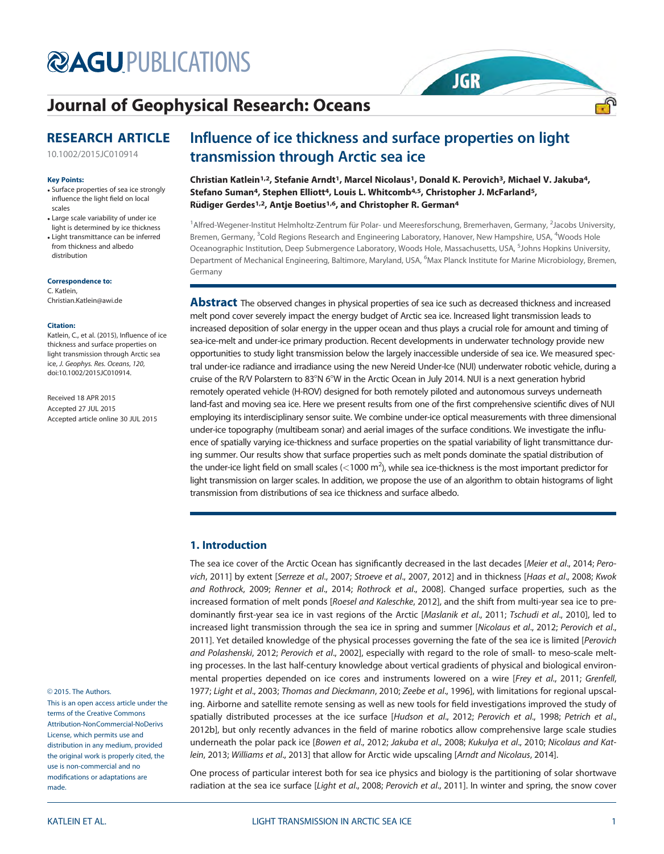# **@AGU[PUBLICATIONS](http://publications.agu.org/)**

### [Journal of Geophysical Research: Oceans](http://onlinelibrary.wiley.com/journal/10.1002/(ISSN)2169-9291/)

### RESEARCH ARTICLE

[10.1002/2015JC010914](http://dx.doi.org/10.1002/2015JC010914)

#### Key Points:

- Surface properties of sea ice strongly influence the light field on local scales
- Large scale variability of under ice light is determined by ice thickness
- Light transmittance can be inferred from thickness and albedo distribution

#### Correspondence to:

C. Katlein, Christian.Katlein@awi.de

#### Citation:

Katlein, C., et al. (2015), Influence of ice thickness and surface properties on light transmission through Arctic sea ice, J. Geophys. Res. Oceans, 120, doi:10.1002/2015JC010914.

Received 18 APR 2015 Accepted 27 JUL 2015 Accepted article online 30 JUL 2015

© 2015. The Authors.

This is an open access article under the terms of the [Creative Commons](http://creativecommons.org/licenses/by-nc-nd/3.0/) [Attribution-NonCommercial-NoDerivs](http://creativecommons.org/licenses/by-nc-nd/3.0/) License, which permits use and distribution in any medium, provided the original work is properly cited, the use is non-commercial and no modifications or adaptations are made.

### Influence of ice thickness and surface properties on light transmission through Arctic sea ice

**JGR** 

்

Christian Katlein<sup>1,2</sup>, Stefanie Arndt<sup>1</sup>, Marcel Nicolaus<sup>1</sup>, Donald K. Perovich<sup>3</sup>, Michael V. Jakuba<sup>4</sup>, Stefano Suman<sup>4</sup>, Stephen Elliott<sup>4</sup>, Louis L. Whitcomb<sup>4,5</sup>, Christopher J. McFarland<sup>5</sup>, Rüdiger Gerdes<sup>1,2</sup>, Antje Boetius<sup>1,6</sup>, and Christopher R. German<sup>4</sup>

<sup>1</sup> Alfred-Wegener-Institut Helmholtz-Zentrum für Polar- und Meeresforschung, Bremerhaven, Germany, <sup>2</sup> Jacobs University, Bremen, Germany, <sup>3</sup>Cold Regions Research and Engineering Laboratory, Hanover, New Hampshire, USA, <sup>4</sup>Woods Hole Oceanographic Institution, Deep Submergence Laboratory, Woods Hole, Massachusetts, USA, <sup>5</sup>Johns Hopkins University, Department of Mechanical Engineering, Baltimore, Maryland, USA, <sup>6</sup>Max Planck Institute for Marine Microbiology, Bremen, Germany

Abstract The observed changes in physical properties of sea ice such as decreased thickness and increased melt pond cover severely impact the energy budget of Arctic sea ice. Increased light transmission leads to increased deposition of solar energy in the upper ocean and thus plays a crucial role for amount and timing of sea-ice-melt and under-ice primary production. Recent developments in underwater technology provide new opportunities to study light transmission below the largely inaccessible underside of sea ice. We measured spectral under-ice radiance and irradiance using the new Nereid Under-Ice (NUI) underwater robotic vehicle, during a cruise of the R/V Polarstern to 83°N 6°W in the Arctic Ocean in July 2014. NUI is a next generation hybrid remotely operated vehicle (H-ROV) designed for both remotely piloted and autonomous surveys underneath land-fast and moving sea ice. Here we present results from one of the first comprehensive scientific dives of NUI employing its interdisciplinary sensor suite. We combine under-ice optical measurements with three dimensional under-ice topography (multibeam sonar) and aerial images of the surface conditions. We investigate the influence of spatially varying ice-thickness and surface properties on the spatial variability of light transmittance during summer. Our results show that surface properties such as melt ponds dominate the spatial distribution of the under-ice light field on small scales ( $<$ 1000 m $^2$ ), while sea ice-thickness is the most important predictor for light transmission on larger scales. In addition, we propose the use of an algorithm to obtain histograms of light transmission from distributions of sea ice thickness and surface albedo.

#### 1. Introduction

The sea ice cover of the Arctic Ocean has significantly decreased in the last decades [Meier et al., 2014; Perovich, 2011] by extent [Serreze et al., 2007; Stroeve et al., 2007, 2012] and in thickness [Haas et al., 2008; Kwok and Rothrock, 2009; Renner et al., 2014; Rothrock et al., 2008]. Changed surface properties, such as the increased formation of melt ponds [Roesel and Kaleschke, 2012], and the shift from multi-year sea ice to predominantly first-year sea ice in vast regions of the Arctic [Maslanik et al., 2011; Tschudi et al., 2010], led to increased light transmission through the sea ice in spring and summer [Nicolaus et al., 2012; Perovich et al., 2011]. Yet detailed knowledge of the physical processes governing the fate of the sea ice is limited [Perovich and Polashenski, 2012; Perovich et al., 2002], especially with regard to the role of small- to meso-scale melting processes. In the last half-century knowledge about vertical gradients of physical and biological environmental properties depended on ice cores and instruments lowered on a wire [Frey et al., 2011; Grenfell, 1977; Light et al., 2003; Thomas and Dieckmann, 2010; Zeebe et al., 1996], with limitations for regional upscaling. Airborne and satellite remote sensing as well as new tools for field investigations improved the study of spatially distributed processes at the ice surface [Hudson et al., 2012; Perovich et al., 1998; Petrich et al., 2012b], but only recently advances in the field of marine robotics allow comprehensive large scale studies underneath the polar pack ice [Bowen et al., 2012; Jakuba et al., 2008; Kukulya et al., 2010; Nicolaus and Katlein, 2013; Williams et al., 2013] that allow for Arctic wide upscaling [Arndt and Nicolaus, 2014].

One process of particular interest both for sea ice physics and biology is the partitioning of solar shortwave radiation at the sea ice surface [Light et al., 2008; Perovich et al., 2011]. In winter and spring, the snow cover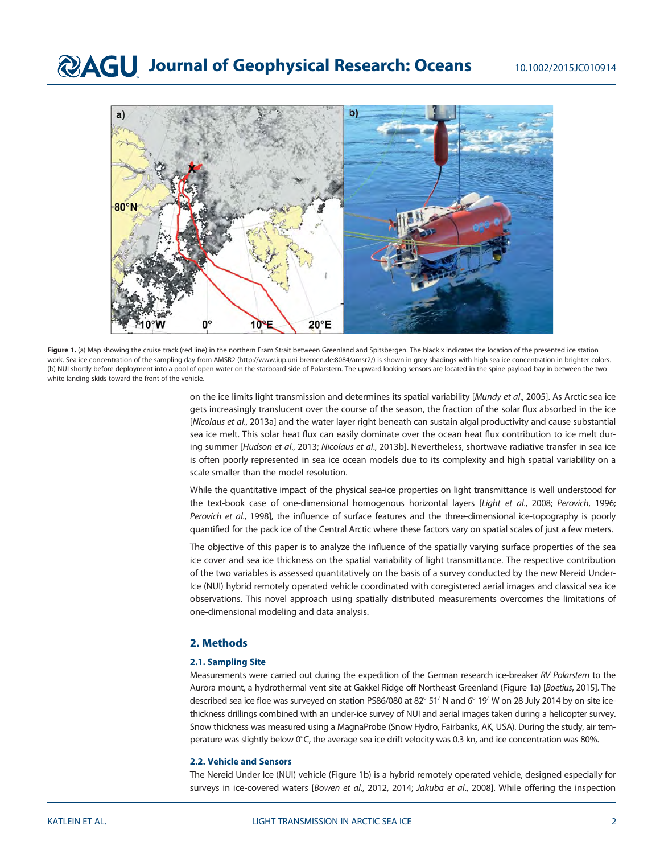# **@AGU** Journal of Geophysical Research: Oceans 10.1002/2015JC010914



Figure 1. (a) Map showing the cruise track (red line) in the northern Fram Strait between Greenland and Spitsbergen. The black x indicates the location of the presented ice station work. Sea ice concentration of the sampling day from AMSR2 [\(http://www.iup.uni-bremen.de:8084/amsr2/](http://www.iup.uni-bremen.de:8084/amsr2/)) is shown in grey shadings with high sea ice concentration in brighter colors. (b) NUI shortly before deployment into a pool of open water on the starboard side of Polarstern. The upward looking sensors are located in the spine payload bay in between the two white landing skids toward the front of the vehicle.

> on the ice limits light transmission and determines its spatial variability [Mundy et al., 2005]. As Arctic sea ice gets increasingly translucent over the course of the season, the fraction of the solar flux absorbed in the ice [Nicolaus et al., 2013a] and the water layer right beneath can sustain algal productivity and cause substantial sea ice melt. This solar heat flux can easily dominate over the ocean heat flux contribution to ice melt during summer [Hudson et al., 2013; Nicolaus et al., 2013b]. Nevertheless, shortwave radiative transfer in sea ice is often poorly represented in sea ice ocean models due to its complexity and high spatial variability on a scale smaller than the model resolution.

> While the quantitative impact of the physical sea-ice properties on light transmittance is well understood for the text-book case of one-dimensional homogenous horizontal layers [Light et al., 2008; Perovich, 1996; Perovich et al., 1998], the influence of surface features and the three-dimensional ice-topography is poorly quantified for the pack ice of the Central Arctic where these factors vary on spatial scales of just a few meters.

> The objective of this paper is to analyze the influence of the spatially varying surface properties of the sea ice cover and sea ice thickness on the spatial variability of light transmittance. The respective contribution of the two variables is assessed quantitatively on the basis of a survey conducted by the new Nereid Under-Ice (NUI) hybrid remotely operated vehicle coordinated with coregistered aerial images and classical sea ice observations. This novel approach using spatially distributed measurements overcomes the limitations of one-dimensional modeling and data analysis.

#### 2. Methods

#### 2.1. Sampling Site

Measurements were carried out during the expedition of the German research ice-breaker RV Polarstern to the Aurora mount, a hydrothermal vent site at Gakkel Ridge off Northeast Greenland (Figure 1a) [Boetius, 2015]. The described sea ice floe was surveyed on station PS86/080 at 82 $^{\circ}$  51' N and 6 $^{\circ}$  19' W on 28 July 2014 by on-site icethickness drillings combined with an under-ice survey of NUI and aerial images taken during a helicopter survey. Snow thickness was measured using a MagnaProbe (Snow Hydro, Fairbanks, AK, USA). During the study, air temperature was slightly below  $0^{\circ}$ C, the average sea ice drift velocity was 0.3 kn, and ice concentration was 80%.

#### 2.2. Vehicle and Sensors

The Nereid Under Ice (NUI) vehicle (Figure 1b) is a hybrid remotely operated vehicle, designed especially for surveys in ice-covered waters [Bowen et al., 2012, 2014; Jakuba et al., 2008]. While offering the inspection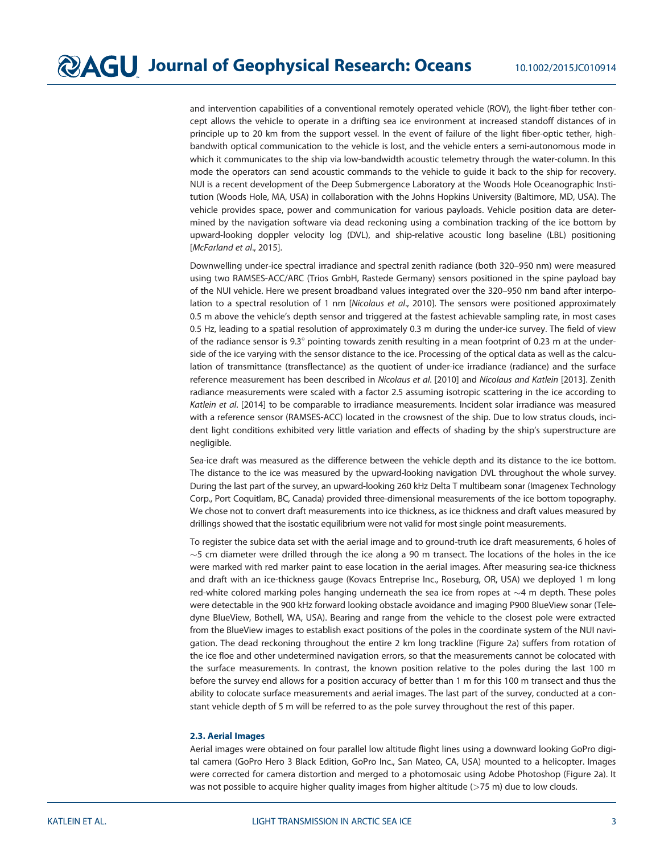and intervention capabilities of a conventional remotely operated vehicle (ROV), the light-fiber tether concept allows the vehicle to operate in a drifting sea ice environment at increased standoff distances of in principle up to 20 km from the support vessel. In the event of failure of the light fiber-optic tether, highbandwith optical communication to the vehicle is lost, and the vehicle enters a semi-autonomous mode in which it communicates to the ship via low-bandwidth acoustic telemetry through the water-column. In this mode the operators can send acoustic commands to the vehicle to guide it back to the ship for recovery. NUI is a recent development of the Deep Submergence Laboratory at the Woods Hole Oceanographic Institution (Woods Hole, MA, USA) in collaboration with the Johns Hopkins University (Baltimore, MD, USA). The vehicle provides space, power and communication for various payloads. Vehicle position data are determined by the navigation software via dead reckoning using a combination tracking of the ice bottom by upward-looking doppler velocity log (DVL), and ship-relative acoustic long baseline (LBL) positioning [McFarland et al., 2015].

Downwelling under-ice spectral irradiance and spectral zenith radiance (both 320–950 nm) were measured using two RAMSES-ACC/ARC (Trios GmbH, Rastede Germany) sensors positioned in the spine payload bay of the NUI vehicle. Here we present broadband values integrated over the 320–950 nm band after interpolation to a spectral resolution of 1 nm [Nicolaus et al., 2010]. The sensors were positioned approximately 0.5 m above the vehicle's depth sensor and triggered at the fastest achievable sampling rate, in most cases 0.5 Hz, leading to a spatial resolution of approximately 0.3 m during the under-ice survey. The field of view of the radiance sensor is  $9.3^{\circ}$  pointing towards zenith resulting in a mean footprint of 0.23 m at the underside of the ice varying with the sensor distance to the ice. Processing of the optical data as well as the calculation of transmittance (transflectance) as the quotient of under-ice irradiance (radiance) and the surface reference measurement has been described in Nicolaus et al. [2010] and Nicolaus and Katlein [2013]. Zenith radiance measurements were scaled with a factor 2.5 assuming isotropic scattering in the ice according to Katlein et al. [2014] to be comparable to irradiance measurements. Incident solar irradiance was measured with a reference sensor (RAMSES-ACC) located in the crowsnest of the ship. Due to low stratus clouds, incident light conditions exhibited very little variation and effects of shading by the ship's superstructure are negligible.

Sea-ice draft was measured as the difference between the vehicle depth and its distance to the ice bottom. The distance to the ice was measured by the upward-looking navigation DVL throughout the whole survey. During the last part of the survey, an upward-looking 260 kHz Delta T multibeam sonar (Imagenex Technology Corp., Port Coquitlam, BC, Canada) provided three-dimensional measurements of the ice bottom topography. We chose not to convert draft measurements into ice thickness, as ice thickness and draft values measured by drillings showed that the isostatic equilibrium were not valid for most single point measurements.

To register the subice data set with the aerial image and to ground-truth ice draft measurements, 6 holes of  $\sim$ 5 cm diameter were drilled through the ice along a 90 m transect. The locations of the holes in the ice were marked with red marker paint to ease location in the aerial images. After measuring sea-ice thickness and draft with an ice-thickness gauge (Kovacs Entreprise Inc., Roseburg, OR, USA) we deployed 1 m long red-white colored marking poles hanging underneath the sea ice from ropes at  $\sim$ 4 m depth. These poles were detectable in the 900 kHz forward looking obstacle avoidance and imaging P900 BlueView sonar (Teledyne BlueView, Bothell, WA, USA). Bearing and range from the vehicle to the closest pole were extracted from the BlueView images to establish exact positions of the poles in the coordinate system of the NUI navigation. The dead reckoning throughout the entire 2 km long trackline (Figure 2a) suffers from rotation of the ice floe and other undetermined navigation errors, so that the measurements cannot be colocated with the surface measurements. In contrast, the known position relative to the poles during the last 100 m before the survey end allows for a position accuracy of better than 1 m for this 100 m transect and thus the ability to colocate surface measurements and aerial images. The last part of the survey, conducted at a constant vehicle depth of 5 m will be referred to as the pole survey throughout the rest of this paper.

#### 2.3. Aerial Images

Aerial images were obtained on four parallel low altitude flight lines using a downward looking GoPro digital camera (GoPro Hero 3 Black Edition, GoPro Inc., San Mateo, CA, USA) mounted to a helicopter. Images were corrected for camera distortion and merged to a photomosaic using Adobe Photoshop (Figure 2a). It was not possible to acquire higher quality images from higher altitude (>75 m) due to low clouds.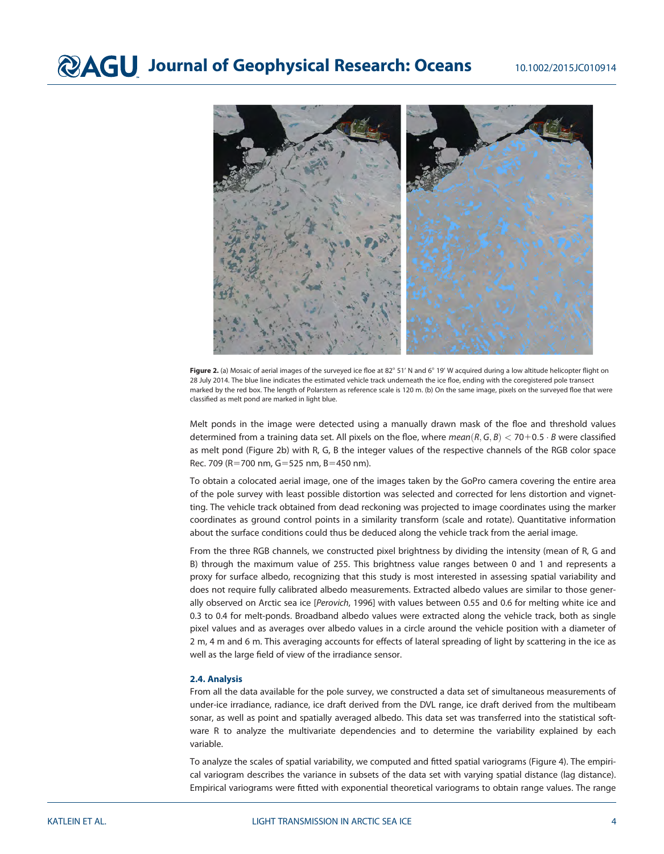

Figure 2. (a) Mosaic of aerial images of the surveyed ice floe at 82° 51' N and 6° 19' W acquired during a low altitude helicopter flight on 28 July 2014. The blue line indicates the estimated vehicle track underneath the ice floe, ending with the coregistered pole transect marked by the red box. The length of Polarstern as reference scale is 120 m. (b) On the same image, pixels on the surveyed floe that were classified as melt pond are marked in light blue.

Melt ponds in the image were detected using a manually drawn mask of the floe and threshold values determined from a training data set. All pixels on the floe, where  $mean(R, G, B) < 70+0.5 \cdot B$  were classified as melt pond (Figure 2b) with R, G, B the integer values of the respective channels of the RGB color space Rec. 709 (R=700 nm, G=525 nm, B=450 nm).

To obtain a colocated aerial image, one of the images taken by the GoPro camera covering the entire area of the pole survey with least possible distortion was selected and corrected for lens distortion and vignetting. The vehicle track obtained from dead reckoning was projected to image coordinates using the marker coordinates as ground control points in a similarity transform (scale and rotate). Quantitative information about the surface conditions could thus be deduced along the vehicle track from the aerial image.

From the three RGB channels, we constructed pixel brightness by dividing the intensity (mean of R, G and B) through the maximum value of 255. This brightness value ranges between 0 and 1 and represents a proxy for surface albedo, recognizing that this study is most interested in assessing spatial variability and does not require fully calibrated albedo measurements. Extracted albedo values are similar to those generally observed on Arctic sea ice [Perovich, 1996] with values between 0.55 and 0.6 for melting white ice and 0.3 to 0.4 for melt-ponds. Broadband albedo values were extracted along the vehicle track, both as single pixel values and as averages over albedo values in a circle around the vehicle position with a diameter of 2 m, 4 m and 6 m. This averaging accounts for effects of lateral spreading of light by scattering in the ice as well as the large field of view of the irradiance sensor.

#### 2.4. Analysis

From all the data available for the pole survey, we constructed a data set of simultaneous measurements of under-ice irradiance, radiance, ice draft derived from the DVL range, ice draft derived from the multibeam sonar, as well as point and spatially averaged albedo. This data set was transferred into the statistical software R to analyze the multivariate dependencies and to determine the variability explained by each variable.

To analyze the scales of spatial variability, we computed and fitted spatial variograms (Figure 4). The empirical variogram describes the variance in subsets of the data set with varying spatial distance (lag distance). Empirical variograms were fitted with exponential theoretical variograms to obtain range values. The range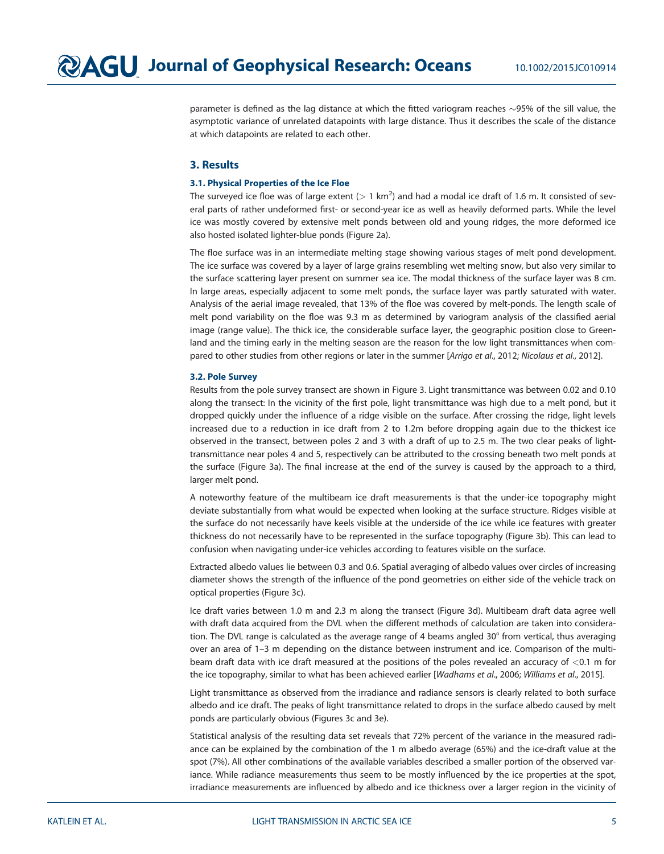parameter is defined as the lag distance at which the fitted variogram reaches  $\sim$ 95% of the sill value, the asymptotic variance of unrelated datapoints with large distance. Thus it describes the scale of the distance at which datapoints are related to each other.

#### 3. Results

#### 3.1. Physical Properties of the Ice Floe

The surveyed ice floe was of large extent ( $> 1 \text{ km}^2$ ) and had a modal ice draft of 1.6 m. It consisted of several parts of rather undeformed first- or second-year ice as well as heavily deformed parts. While the level ice was mostly covered by extensive melt ponds between old and young ridges, the more deformed ice also hosted isolated lighter-blue ponds (Figure 2a).

The floe surface was in an intermediate melting stage showing various stages of melt pond development. The ice surface was covered by a layer of large grains resembling wet melting snow, but also very similar to the surface scattering layer present on summer sea ice. The modal thickness of the surface layer was 8 cm. In large areas, especially adjacent to some melt ponds, the surface layer was partly saturated with water. Analysis of the aerial image revealed, that 13% of the floe was covered by melt-ponds. The length scale of melt pond variability on the floe was 9.3 m as determined by variogram analysis of the classified aerial image (range value). The thick ice, the considerable surface layer, the geographic position close to Greenland and the timing early in the melting season are the reason for the low light transmittances when compared to other studies from other regions or later in the summer [Arrigo et al., 2012; Nicolaus et al., 2012].

#### 3.2. Pole Survey

Results from the pole survey transect are shown in Figure 3. Light transmittance was between 0.02 and 0.10 along the transect: In the vicinity of the first pole, light transmittance was high due to a melt pond, but it dropped quickly under the influence of a ridge visible on the surface. After crossing the ridge, light levels increased due to a reduction in ice draft from 2 to 1.2m before dropping again due to the thickest ice observed in the transect, between poles 2 and 3 with a draft of up to 2.5 m. The two clear peaks of lighttransmittance near poles 4 and 5, respectively can be attributed to the crossing beneath two melt ponds at the surface (Figure 3a). The final increase at the end of the survey is caused by the approach to a third, larger melt pond.

A noteworthy feature of the multibeam ice draft measurements is that the under-ice topography might deviate substantially from what would be expected when looking at the surface structure. Ridges visible at the surface do not necessarily have keels visible at the underside of the ice while ice features with greater thickness do not necessarily have to be represented in the surface topography (Figure 3b). This can lead to confusion when navigating under-ice vehicles according to features visible on the surface.

Extracted albedo values lie between 0.3 and 0.6. Spatial averaging of albedo values over circles of increasing diameter shows the strength of the influence of the pond geometries on either side of the vehicle track on optical properties (Figure 3c).

Ice draft varies between 1.0 m and 2.3 m along the transect (Figure 3d). Multibeam draft data agree well with draft data acquired from the DVL when the different methods of calculation are taken into consideration. The DVL range is calculated as the average range of 4 beams angled  $30^{\circ}$  from vertical, thus averaging over an area of 1–3 m depending on the distance between instrument and ice. Comparison of the multibeam draft data with ice draft measured at the positions of the poles revealed an accuracy of <0.1 m for the ice topography, similar to what has been achieved earlier [Wadhams et al., 2006; Williams et al., 2015].

Light transmittance as observed from the irradiance and radiance sensors is clearly related to both surface albedo and ice draft. The peaks of light transmittance related to drops in the surface albedo caused by melt ponds are particularly obvious (Figures 3c and 3e).

Statistical analysis of the resulting data set reveals that 72% percent of the variance in the measured radiance can be explained by the combination of the 1 m albedo average (65%) and the ice-draft value at the spot (7%). All other combinations of the available variables described a smaller portion of the observed variance. While radiance measurements thus seem to be mostly influenced by the ice properties at the spot, irradiance measurements are influenced by albedo and ice thickness over a larger region in the vicinity of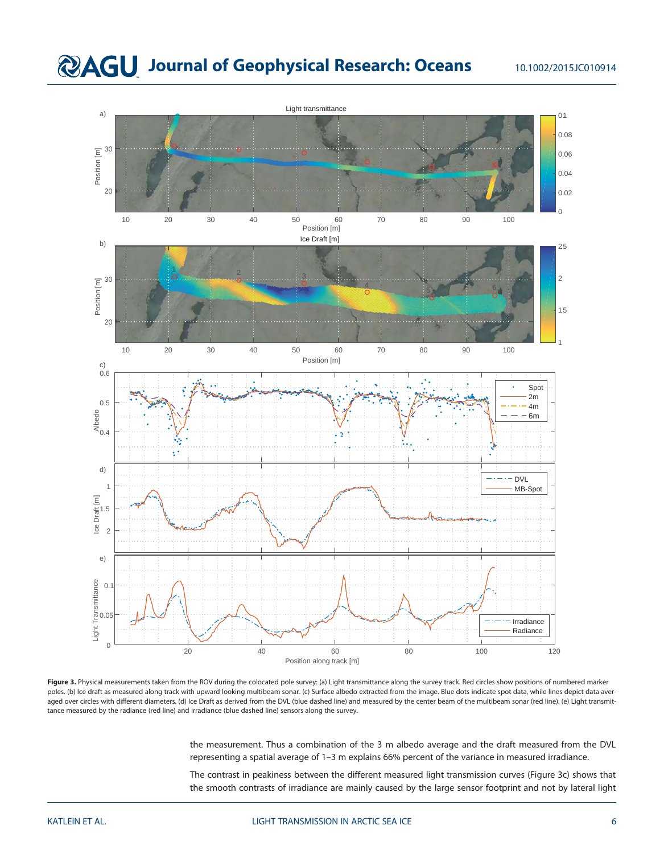### **@AGU** Journal of Geophysical Research: Oceans 10.1002/2015JC010914



Figure 3. Physical measurements taken from the ROV during the colocated pole survey: (a) Light transmittance along the survey track. Red circles show positions of numbered marker poles. (b) Ice draft as measured along track with upward looking multibeam sonar. (c) Surface albedo extracted from the image. Blue dots indicate spot data, while lines depict data averaged over circles with different diameters. (d) Ice Draft as derived from the DVL (blue dashed line) and measured by the center beam of the multibeam sonar (red line). (e) Light transmittance measured by the radiance (red line) and irradiance (blue dashed line) sensors along the survey.

> the measurement. Thus a combination of the 3 m albedo average and the draft measured from the DVL representing a spatial average of 1–3 m explains 66% percent of the variance in measured irradiance.

> The contrast in peakiness between the different measured light transmission curves (Figure 3c) shows that the smooth contrasts of irradiance are mainly caused by the large sensor footprint and not by lateral light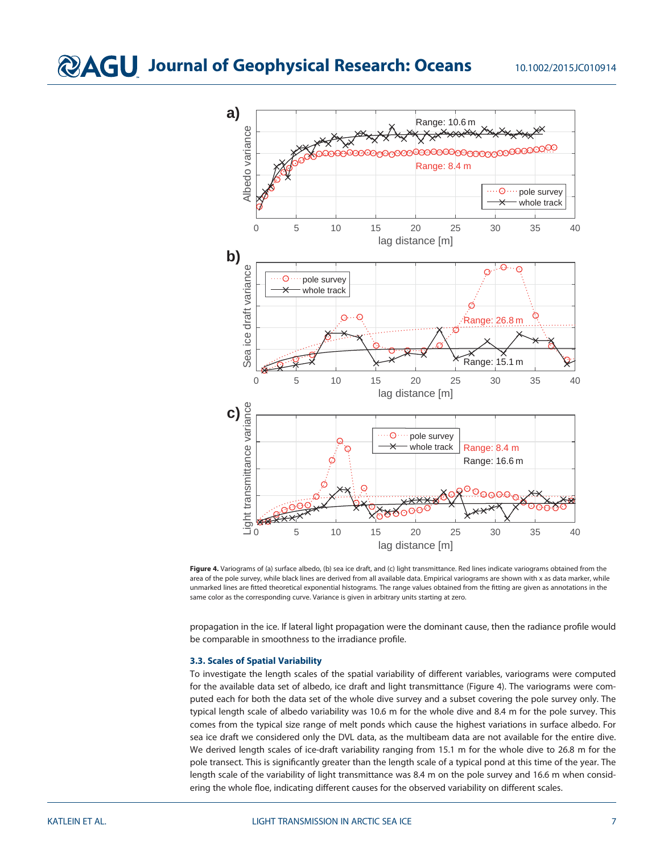### **@AGU** Journal of Geophysical Research: Oceans 10.1002/2015JC010914



Figure 4. Variograms of (a) surface albedo, (b) sea ice draft, and (c) light transmittance. Red lines indicate variograms obtained from the area of the pole survey, while black lines are derived from all available data. Empirical variograms are shown with x as data marker, while unmarked lines are fitted theoretical exponential histograms. The range values obtained from the fitting are given as annotations in the same color as the corresponding curve. Variance is given in arbitrary units starting at zero.

propagation in the ice. If lateral light propagation were the dominant cause, then the radiance profile would be comparable in smoothness to the irradiance profile.

#### 3.3. Scales of Spatial Variability

To investigate the length scales of the spatial variability of different variables, variograms were computed for the available data set of albedo, ice draft and light transmittance (Figure 4). The variograms were computed each for both the data set of the whole dive survey and a subset covering the pole survey only. The typical length scale of albedo variability was 10.6 m for the whole dive and 8.4 m for the pole survey. This comes from the typical size range of melt ponds which cause the highest variations in surface albedo. For sea ice draft we considered only the DVL data, as the multibeam data are not available for the entire dive. We derived length scales of ice-draft variability ranging from 15.1 m for the whole dive to 26.8 m for the pole transect. This is significantly greater than the length scale of a typical pond at this time of the year. The length scale of the variability of light transmittance was 8.4 m on the pole survey and 16.6 m when considering the whole floe, indicating different causes for the observed variability on different scales.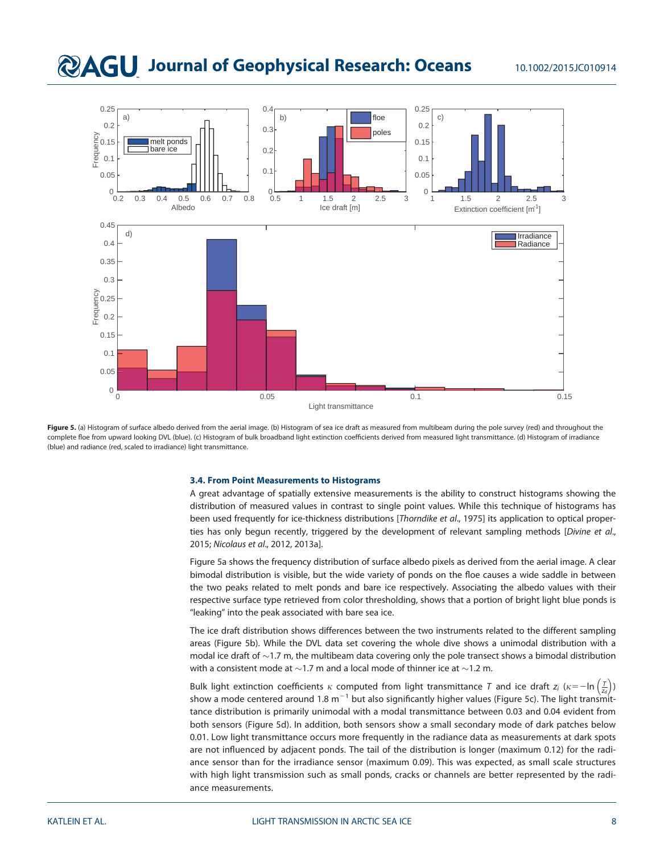# **QAGU** Journal of Geophysical Research: Oceans 10.1002/2015JC010914



Figure 5. (a) Histogram of surface albedo derived from the aerial image. (b) Histogram of sea ice draft as measured from multibeam during the pole survey (red) and throughout the complete floe from upward looking DVL (blue). (c) Histogram of bulk broadband light extinction coefficients derived from measured light transmittance. (d) Histogram of irradiance (blue) and radiance (red, scaled to irradiance) light transmittance.

#### 3.4. From Point Measurements to Histograms

A great advantage of spatially extensive measurements is the ability to construct histograms showing the distribution of measured values in contrast to single point values. While this technique of histograms has been used frequently for ice-thickness distributions [Thorndike et al., 1975] its application to optical properties has only begun recently, triggered by the development of relevant sampling methods [Divine et al., 2015; Nicolaus et al., 2012, 2013a].

Figure 5a shows the frequency distribution of surface albedo pixels as derived from the aerial image. A clear bimodal distribution is visible, but the wide variety of ponds on the floe causes a wide saddle in between the two peaks related to melt ponds and bare ice respectively. Associating the albedo values with their respective surface type retrieved from color thresholding, shows that a portion of bright light blue ponds is "leaking" into the peak associated with bare sea ice.

The ice draft distribution shows differences between the two instruments related to the different sampling areas (Figure 5b). While the DVL data set covering the whole dive shows a unimodal distribution with a modal ice draft of  $\sim$ 1.7 m, the multibeam data covering only the pole transect shows a bimodal distribution with a consistent mode at  $\sim$ 1.7 m and a local mode of thinner ice at  $\sim$ 1.2 m.

Bulk light extinction coefficients  $\kappa$  computed from light transmittance T and ice draft  $z_i$  ( $\kappa$ =-In $\left(\frac{T}{z_d}\right)$  $\left(\frac{T}{7}\right)$ show a mode centered around 1.8 m<sup>-1</sup> but also significantly higher values (Figure 5c). The light transmittance distribution is primarily unimodal with a modal transmittance between 0.03 and 0.04 evident from both sensors (Figure 5d). In addition, both sensors show a small secondary mode of dark patches below 0.01. Low light transmittance occurs more frequently in the radiance data as measurements at dark spots are not influenced by adjacent ponds. The tail of the distribution is longer (maximum 0.12) for the radiance sensor than for the irradiance sensor (maximum 0.09). This was expected, as small scale structures with high light transmission such as small ponds, cracks or channels are better represented by the radiance measurements.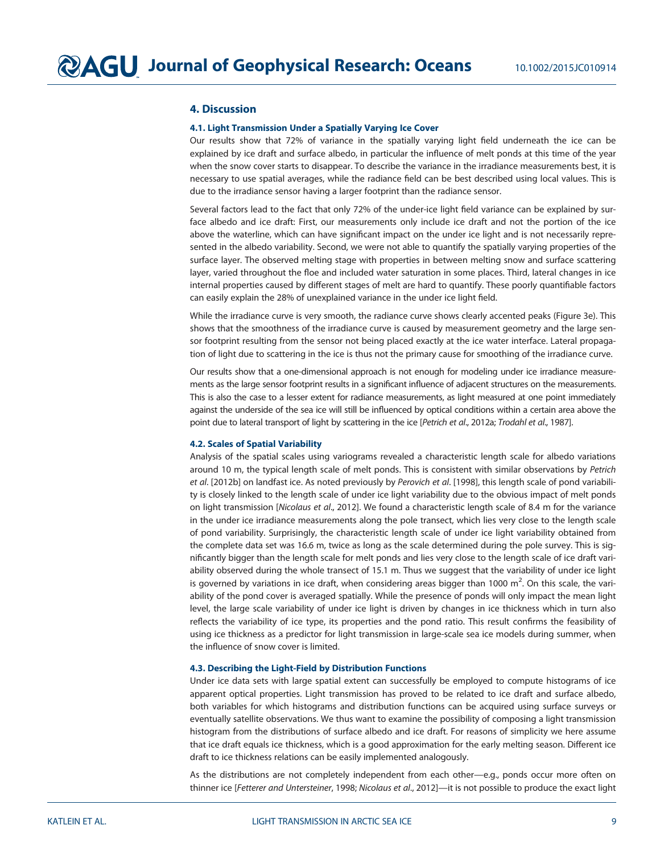#### 4. Discussion

#### 4.1. Light Transmission Under a Spatially Varying Ice Cover

Our results show that 72% of variance in the spatially varying light field underneath the ice can be explained by ice draft and surface albedo, in particular the influence of melt ponds at this time of the year when the snow cover starts to disappear. To describe the variance in the irradiance measurements best, it is necessary to use spatial averages, while the radiance field can be best described using local values. This is due to the irradiance sensor having a larger footprint than the radiance sensor.

Several factors lead to the fact that only 72% of the under-ice light field variance can be explained by surface albedo and ice draft: First, our measurements only include ice draft and not the portion of the ice above the waterline, which can have significant impact on the under ice light and is not necessarily represented in the albedo variability. Second, we were not able to quantify the spatially varying properties of the surface layer. The observed melting stage with properties in between melting snow and surface scattering layer, varied throughout the floe and included water saturation in some places. Third, lateral changes in ice internal properties caused by different stages of melt are hard to quantify. These poorly quantifiable factors can easily explain the 28% of unexplained variance in the under ice light field.

While the irradiance curve is very smooth, the radiance curve shows clearly accented peaks (Figure 3e). This shows that the smoothness of the irradiance curve is caused by measurement geometry and the large sensor footprint resulting from the sensor not being placed exactly at the ice water interface. Lateral propagation of light due to scattering in the ice is thus not the primary cause for smoothing of the irradiance curve.

Our results show that a one-dimensional approach is not enough for modeling under ice irradiance measurements as the large sensor footprint results in a significant influence of adjacent structures on the measurements. This is also the case to a lesser extent for radiance measurements, as light measured at one point immediately against the underside of the sea ice will still be influenced by optical conditions within a certain area above the point due to lateral transport of light by scattering in the ice [Petrich et al., 2012a; Trodahl et al., 1987].

#### 4.2. Scales of Spatial Variability

Analysis of the spatial scales using variograms revealed a characteristic length scale for albedo variations around 10 m, the typical length scale of melt ponds. This is consistent with similar observations by Petrich et al. [2012b] on landfast ice. As noted previously by Perovich et al. [1998], this length scale of pond variability is closely linked to the length scale of under ice light variability due to the obvious impact of melt ponds on light transmission [Nicolaus et al., 2012]. We found a characteristic length scale of 8.4 m for the variance in the under ice irradiance measurements along the pole transect, which lies very close to the length scale of pond variability. Surprisingly, the characteristic length scale of under ice light variability obtained from the complete data set was 16.6 m, twice as long as the scale determined during the pole survey. This is significantly bigger than the length scale for melt ponds and lies very close to the length scale of ice draft variability observed during the whole transect of 15.1 m. Thus we suggest that the variability of under ice light is governed by variations in ice draft, when considering areas bigger than 1000 m<sup>2</sup>. On this scale, the variability of the pond cover is averaged spatially. While the presence of ponds will only impact the mean light level, the large scale variability of under ice light is driven by changes in ice thickness which in turn also reflects the variability of ice type, its properties and the pond ratio. This result confirms the feasibility of using ice thickness as a predictor for light transmission in large-scale sea ice models during summer, when the influence of snow cover is limited.

#### 4.3. Describing the Light-Field by Distribution Functions

Under ice data sets with large spatial extent can successfully be employed to compute histograms of ice apparent optical properties. Light transmission has proved to be related to ice draft and surface albedo, both variables for which histograms and distribution functions can be acquired using surface surveys or eventually satellite observations. We thus want to examine the possibility of composing a light transmission histogram from the distributions of surface albedo and ice draft. For reasons of simplicity we here assume that ice draft equals ice thickness, which is a good approximation for the early melting season. Different ice draft to ice thickness relations can be easily implemented analogously.

As the distributions are not completely independent from each other—e.g., ponds occur more often on thinner ice [Fetterer and Untersteiner, 1998; Nicolaus et al., 2012]—it is not possible to produce the exact light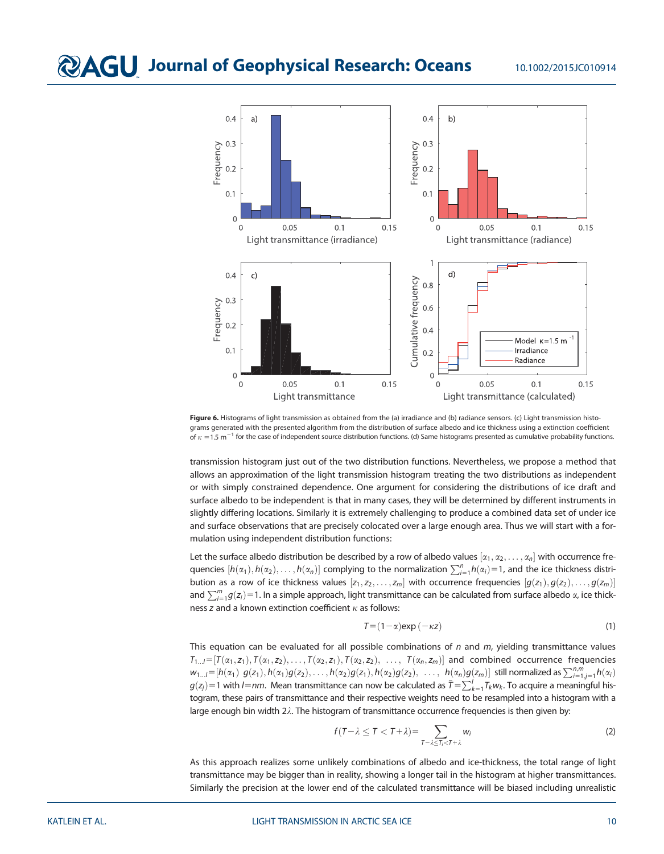# **QAGU** Journal of Geophysical Research: Oceans 10.1002/2015JC010914



Figure 6. Histograms of light transmission as obtained from the (a) irradiance and (b) radiance sensors. (c) Light transmission histograms generated with the presented algorithm from the distribution of surface albedo and ice thickness using a extinction coefficient of  $\kappa$  = 1.5 m<sup>-1</sup> for the case of independent source distribution functions. (d) Same histograms presented as cumulative probability functions.

transmission histogram just out of the two distribution functions. Nevertheless, we propose a method that allows an approximation of the light transmission histogram treating the two distributions as independent or with simply constrained dependence. One argument for considering the distributions of ice draft and surface albedo to be independent is that in many cases, they will be determined by different instruments in slightly differing locations. Similarly it is extremely challenging to produce a combined data set of under ice and surface observations that are precisely colocated over a large enough area. Thus we will start with a formulation using independent distribution functions:

Let the surface albedo distribution be described by a row of albedo values  $[\alpha_1, \alpha_2, \dots, \alpha_n]$  with occurrence frequencies  $[h(\alpha_1), h(\alpha_2), \ldots, h(\alpha_n)]$  complying to the normalization  $\sum_{i=1}^n h(\alpha_i) = 1$ , and the ice thickness distribution as a row of ice thickness values  $[z_1, z_2, \ldots, z_m]$  with occurrence frequencies  $[g(z_1), g(z_2), \ldots, g(z_m)]$ and  $\sum_{i=1}^{m} g(z_i) = 1$ . In a simple approach, light transmittance can be calculated from surface albedo  $\alpha$ , ice thickness z and a known extinction coefficient  $\kappa$  as follows:

$$
T = (1 - \alpha) \exp(-\kappa z) \tag{1}
$$

This equation can be evaluated for all possible combinations of  $n$  and  $m$ , yielding transmittance values  $T_{1...I}=[T(\alpha_1,z_1), T(\alpha_1,z_2), \ldots, T(\alpha_2,z_1), T(\alpha_2,z_2), \ldots, T(\alpha_n,z_m)]$  and combined occurrence frequencies  $w_{1...j} = [h(\alpha_1) g(z_1), h(\alpha_1) g(z_2), \ldots, h(\alpha_2) g(z_1), h(\alpha_2) g(z_2), \ldots, h(\alpha_n) g(z_m)]$  still normalized as  $\sum_{i=1}^{n,m} {}_{j=1}h(\alpha_i)$  $g(z_j)=1$  with  $l=nm$ . Mean transmittance can now be calculated as  $\overline{T}=\sum_{k=1}^{N}T_kw_k$ . To acquire a meaningful histogram, these pairs of transmittance and their respective weights need to be resampled into a histogram with a large enough bin width 2 $\lambda$ . The histogram of transmittance occurrence frequencies is then given by:

$$
f(T-\lambda \leq T < T+\lambda) = \sum_{T-\lambda \leq T_1 < T+\lambda} w_i
$$
 (2)

As this approach realizes some unlikely combinations of albedo and ice-thickness, the total range of light transmittance may be bigger than in reality, showing a longer tail in the histogram at higher transmittances. Similarly the precision at the lower end of the calculated transmittance will be biased including unrealistic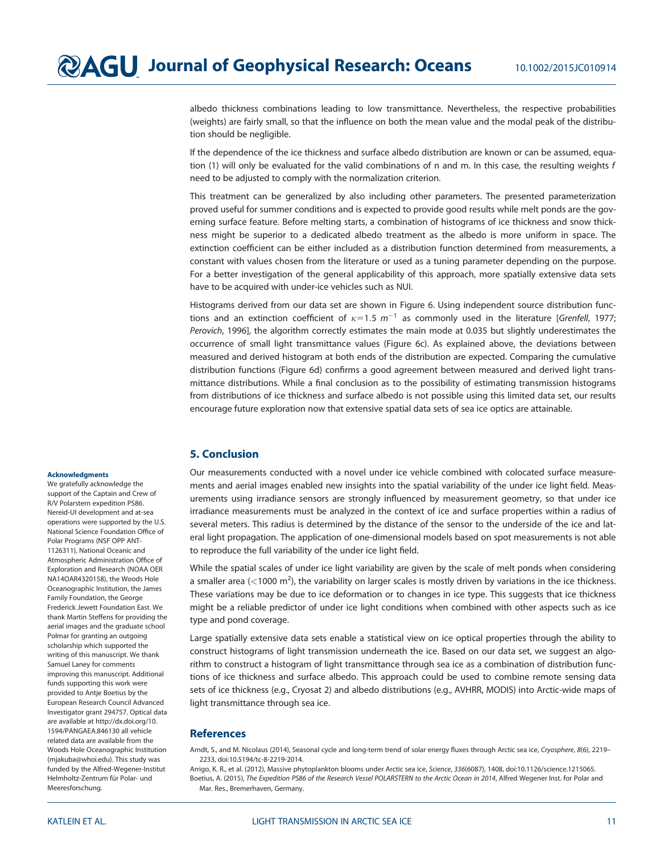albedo thickness combinations leading to low transmittance. Nevertheless, the respective probabilities (weights) are fairly small, so that the influence on both the mean value and the modal peak of the distribution should be negligible.

If the dependence of the ice thickness and surface albedo distribution are known or can be assumed, equation (1) will only be evaluated for the valid combinations of n and m. In this case, the resulting weights  $f$ need to be adjusted to comply with the normalization criterion.

This treatment can be generalized by also including other parameters. The presented parameterization proved useful for summer conditions and is expected to provide good results while melt ponds are the governing surface feature. Before melting starts, a combination of histograms of ice thickness and snow thickness might be superior to a dedicated albedo treatment as the albedo is more uniform in space. The extinction coefficient can be either included as a distribution function determined from measurements, a constant with values chosen from the literature or used as a tuning parameter depending on the purpose. For a better investigation of the general applicability of this approach, more spatially extensive data sets have to be acquired with under-ice vehicles such as NUI.

Histograms derived from our data set are shown in Figure 6. Using independent source distribution functions and an extinction coefficient of  $\kappa=1.5$   $m^{-1}$  as commonly used in the literature [Grenfell, 1977; Perovich, 1996], the algorithm correctly estimates the main mode at 0.035 but slightly underestimates the occurrence of small light transmittance values (Figure 6c). As explained above, the deviations between measured and derived histogram at both ends of the distribution are expected. Comparing the cumulative distribution functions (Figure 6d) confirms a good agreement between measured and derived light transmittance distributions. While a final conclusion as to the possibility of estimating transmission histograms from distributions of ice thickness and surface albedo is not possible using this limited data set, our results encourage future exploration now that extensive spatial data sets of sea ice optics are attainable.

### 5. Conclusion

Our measurements conducted with a novel under ice vehicle combined with colocated surface measurements and aerial images enabled new insights into the spatial variability of the under ice light field. Measurements using irradiance sensors are strongly influenced by measurement geometry, so that under ice irradiance measurements must be analyzed in the context of ice and surface properties within a radius of several meters. This radius is determined by the distance of the sensor to the underside of the ice and lateral light propagation. The application of one-dimensional models based on spot measurements is not able to reproduce the full variability of the under ice light field.

While the spatial scales of under ice light variability are given by the scale of melt ponds when considering a smaller area (<1000 m<sup>2</sup>), the variability on larger scales is mostly driven by variations in the ice thickness. These variations may be due to ice deformation or to changes in ice type. This suggests that ice thickness might be a reliable predictor of under ice light conditions when combined with other aspects such as ice type and pond coverage.

Large spatially extensive data sets enable a statistical view on ice optical properties through the ability to construct histograms of light transmission underneath the ice. Based on our data set, we suggest an algorithm to construct a histogram of light transmittance through sea ice as a combination of distribution functions of ice thickness and surface albedo. This approach could be used to combine remote sensing data sets of ice thickness (e.g., Cryosat 2) and albedo distributions (e.g., AVHRR, MODIS) into Arctic-wide maps of light transmittance through sea ice.

#### References

Arndt, S., and M. Nicolaus (2014), Seasonal cycle and long-term trend of solar energy fluxes through Arctic sea ice, Cryosphere, 8(6), 2219– 2233, doi:[10.5194/tc-8-2219-2014.](http://dx.doi.org/10.5194/tc-8-2219-2014.)

Arrigo, K. R., et al. (2012), Massive phytoplankton blooms under Arctic sea ice, Science, 336(6087), 1408, doi:[10.1126/science.1215065.](http://dx.doi.org/10.1126/science.1215065.) Boetius, A. (2015), The Expedition PS86 of the Research Vessel POLARSTERN to the Arctic Ocean in 2014, Alfred Wegener Inst. for Polar and Mar. Res., Bremerhaven, Germany.

#### Acknowledgments

We gratefully acknowledge the support of the Captain and Crew of R/V Polarstern expedition PS86. Nereid-UI development and at-sea operations were supported by the U.S. National Science Foundation Office of Polar Programs (NSF OPP ANT-1126311), National Oceanic and Atmospheric Administration Office of Exploration and Research (NOAA OER NA14OAR4320158), the Woods Hole Oceanographic Institution, the James Family Foundation, the George Frederick Jewett Foundation East. We thank Martin Steffens for providing the aerial images and the graduate school Polmar for granting an outgoing scholarship which supported the writing of this manuscript. We thank Samuel Laney for comments improving this manuscript. Additional funds supporting this work were provided to Antje Boetius by the European Research Council Advanced Investigator grant 294757. Optical data are available at [http://dx.doi.org/10.](http://dx.doi.org/10.1594/PANGAEA.846130) [1594/PANGAEA.846130](http://dx.doi.org/10.1594/PANGAEA.846130) all vehicle related data are available from the Woods Hole Oceanographic Institution (mjakuba@whoi.edu). This study was funded by the Alfred-Wegener-Institut Helmholtz-Zentrum für Polar- und Meeresforschung.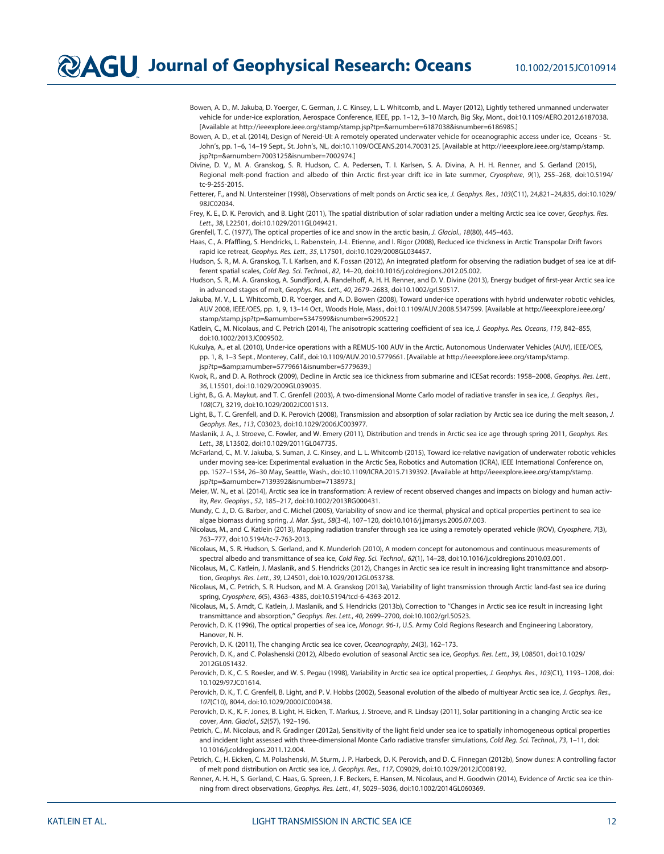Bowen, A. D., M. Jakuba, D. Yoerger, C. German, J. C. Kinsey, L. L. Whitcomb, and L. Mayer (2012), Lightly tethered unmanned underwater vehicle for under-ice exploration, Aerospace Conference, IEEE, pp. 1–12, 3–10 March, Big Sky, Mont., doi[:10.1109/AERO.2012.6187038.](http://dx.doi.org/10.1109/AERO.2012.6187038) [Available at<http://ieeexplore.ieee.org/stamp/stamp.jsp?tp=&arnumber=6187038&isnumber=6186985>.]

Bowen, A. D., et al. (2014), Design of Nereid-UI: A remotely operated underwater vehicle for oceanographic access under ice, Oceans - St. John's, pp. 1–6, 14–19 Sept., St. John's, NL, doi:[10.1109/OCEANS.2014.7003125.](http://dx.doi.org/10.1109/OCEANS.2014.7003125) [Available at [http://ieeexplore.ieee.org/stamp/stamp.](http://ieeexplore.ieee.org/stamp/stamp.jsp?tp=&arnumber=7003125&isnumber=7002974) [jsp?tp=&arnumber=7003125&isnumber=7002974](http://ieeexplore.ieee.org/stamp/stamp.jsp?tp=&arnumber=7003125&isnumber=7002974).]

Divine, D. V., M. A. Granskog, S. R. Hudson, C. A. Pedersen, T. I. Karlsen, S. A. Divina, A. H. H. Renner, and S. Gerland (2015), Regional melt-pond fraction and albedo of thin Arctic first-year drift ice in late summer, Cryosphere, 9(1), 255–268, doi[:10.5194/](http://dx.doi.org/10.5194/tc-9-255-2015.) [tc-9-255-2015.](http://dx.doi.org/10.5194/tc-9-255-2015.)

Fetterer, F., and N. Untersteiner (1998), Observations of melt ponds on Arctic sea ice, J. Geophys. Res., 103(C11), 24,821-24,835, doi[:10.1029/](http://dx.doi.org/10.1029/98JC02034.) [98JC02034.](http://dx.doi.org/10.1029/98JC02034.)

Frey, K. E., D. K. Perovich, and B. Light (2011), The spatial distribution of solar radiation under a melting Arctic sea ice cover, Geophys. Res. Lett., 38, L22501, doi:[10.1029/2011GL049421.](http://dx.doi.org/10.1029/2011GL049421.)

Grenfell, T. C. (1977), The optical properties of ice and snow in the arctic basin, J. Glaciol., 18(80), 445–463.

Haas, C., A. Pfaffling, S. Hendricks, L. Rabenstein, J.-L. Etienne, and I. Rigor (2008), Reduced ice thickness in Arctic Transpolar Drift favors rapid ice retreat, Geophys. Res. Lett., 35, L17501, doi:[10.1029/2008GL034457.](http://dx.doi.org/10.1029/2008GL034457.)

Hudson, S. R., M. A. Granskog, T. I. Karlsen, and K. Fossan (2012), An integrated platform for observing the radiation budget of sea ice at different spatial scales, Cold Reg. Sci. Technol., 82, 14–20, doi:[10.1016/j.coldregions.2012.05.002.](http://dx.doi.org/10.1016/j.coldregions.2012.05.002.)

Hudson, S. R., M. A. Granskog, A. Sundfjord, A. Randelhoff, A. H. H. Renner, and D. V. Divine (2013), Energy budget of first-year Arctic sea ice in advanced stages of melt, Geophys. Res. Lett., 40, 2679–2683, doi[:10.1002/grl.50517.](http://dx.doi.org/10.1002/grl.50517.)

Jakuba, M. V., L. L. Whitcomb, D. R. Yoerger, and A. D. Bowen (2008), Toward under-ice operations with hybrid underwater robotic vehicles, AUV 2008, IEEE/OES, pp. 1, 9, 13–14 Oct., Woods Hole, Mass., doi[:10.1109/AUV.2008.5347599](http://dx.doi.org/10.1109/AUV.2008.5347599). [Available at [http://ieeexplore.ieee.org/](http://ieeexplore.ieee.org/stamp/stamp.jsp?tp=&arnumber=5347599&isnumber=5290522) [stamp/stamp.jsp?tp=&arnumber=5347599](http://ieeexplore.ieee.org/stamp/stamp.jsp?tp=&arnumber=5347599&isnumber=5290522)&[isnumber=5290522](http://ieeexplore.ieee.org/stamp/stamp.jsp?tp=&arnumber=5347599&isnumber=5290522).]

Katlein, C., M. Nicolaus, and C. Petrich (2014), The anisotropic scattering coefficient of sea ice, J. Geophys. Res. Oceans, 119, 842-855, doi[:10.1002/2013JC009502.](http://dx.doi.org/10.1002/2013JC009502.)

Kukulya, A., et al. (2010), Under-ice operations with a REMUS-100 AUV in the Arctic, Autonomous Underwater Vehicles (AUV), IEEE/OES, pp. 1, 8, 1-3 Sept., Monterey, Calif., doi[:10.1109/AUV.2010.5779661](http://dx.doi.org/10.1109/AUV.2010.5779661). [Available at http://ieeexplore.ieee.org/stamp/stamp [jsp?tp=&arnumber=5779661&isnumber=5779639.](http://ieeexplore.ieee.org/stamp/stamp.jsp?tp=&amp;arnumber=5779661&isnumber=5779639)]

Kwok, R., and D. A. Rothrock (2009), Decline in Arctic sea ice thickness from submarine and ICESat records: 1958–2008, Geophys, Res. Lett., 36, L15501, doi[:10.1029/2009GL039035.](http://dx.doi.org/10.1029/2009GL039035.)

Light, B., G. A. Maykut, and T. C. Grenfell (2003), A two-dimensional Monte Carlo model of radiative transfer in sea ice, J. Geophys. Res., 108(C7), 3219, doi[:10.1029/2002JC001513.](http://dx.doi.org/10.1029/2002JC001513.)

Light, B., T. C. Grenfell, and D. K. Perovich (2008), Transmission and absorption of solar radiation by Arctic sea ice during the melt season, J. Geophys. Res., 113, C03023, doi:[10.1029/2006JC003977.](http://dx.doi.org/10.1029/2006JC003977.)

Maslanik, J. A., J. Stroeve, C. Fowler, and W. Emery (2011), Distribution and trends in Arctic sea ice age through spring 2011, Geophys. Res. Lett., 38, L13502, doi:[10.1029/2011GL047735.](http://dx.doi.org/10.1029/2011GL047735.)

McFarland, C., M. V. Jakuba, S. Suman, J. C. Kinsey, and L. L. Whitcomb (2015), Toward ice-relative navigation of underwater robotic vehicles under moving sea-ice: Experimental evaluation in the Arctic Sea, Robotics and Automation (ICRA), IEEE International Conference on, pp. 1527–1534, 26–30 May, Seattle, Wash., doi:[10.1109/ICRA.2015.7139392.](http://dx.doi.org/10.1109/ICRA.2015.7139392) [Available at [http://ieeexplore.ieee.org/stamp/stamp.](http://ieeexplore.ieee.org/stamp/stamp.jsp?tp=&arnumber=7139392&isnumber=7138973) [jsp?tp=&arnumber=7139392&isnumber=7138973](http://ieeexplore.ieee.org/stamp/stamp.jsp?tp=&arnumber=7139392&isnumber=7138973).]

Meier, W. N., et al. (2014), Arctic sea ice in transformation: A review of recent observed changes and impacts on biology and human activity, Rev. Geophys., 52, 185–217, doi[:10.1002/2013RG000431.](http://dx.doi.org/10.1002/2013RG000431.)

Mundy, C. J., D. G. Barber, and C. Michel (2005), Variability of snow and ice thermal, physical and optical properties pertinent to sea ice algae biomass during spring, J. Mar. Syst., 58(3-4), 107–120, doi[:10.1016/j.jmarsys.2005.07.003.](http://dx.doi.org/10.1016/j.jmarsys.2005.07.003.)

Nicolaus, M., and C. Katlein (2013), Mapping radiation transfer through sea ice using a remotely operated vehicle (ROV), Cryosphere, 7(3), 763–777, doi[:10.5194/tc-7-763-2013.](http://dx.doi.org/10.5194/tc-7-763-2013.)

Nicolaus, M., S. R. Hudson, S. Gerland, and K. Munderloh (2010), A modern concept for autonomous and continuous measurements of spectral albedo and transmittance of sea ice, Cold Reg. Sci. Technol., 62(1), 14–28, doi[:10.1016/j.coldregions.2010.03.001.](http://dx.doi.org/10.1016/j.coldregions.2010.03.001.)

Nicolaus, M., C. Katlein, J. Maslanik, and S. Hendricks (2012), Changes in Arctic sea ice result in increasing light transmittance and absorption, Geophys. Res. Lett., 39, L24501, doi[:10.1029/2012GL053738.](http://dx.doi.org/10.1029/2012GL053738.)

Nicolaus, M., C. Petrich, S. R. Hudson, and M. A. Granskog (2013a), Variability of light transmission through Arctic land-fast sea ice during spring, Cryosphere, 6(5), 4363–4385, doi[:10.5194/tcd-6-4363-2012.](http://dx.doi.org/10.5194/tcd-6-4363-2012.)

Nicolaus, M., S. Arndt, C. Katlein, J. Maslanik, and S. Hendricks (2013b), Correction to ''Changes in Arctic sea ice result in increasing light transmittance and absorption," Geophys. Res. Lett., 40, 2699-2700, doi:10.1002/qrl.50523.

Perovich, D. K. (1996), The optical properties of sea ice, Monogr. 96-1, U.S. Army Cold Regions Research and Engineering Laboratory, Hanover, N. H.

Perovich, D. K. (2011), The changing Arctic sea ice cover, Oceanography, 24(3), 162-173.

Perovich, D. K., and C. Polashenski (2012), Albedo evolution of seasonal Arctic sea ice, Geophys. Res. Lett., 39, L08501, doi[:10.1029/](http://dx.doi.org/10.1029/2012GL051432.) [2012GL051432.](http://dx.doi.org/10.1029/2012GL051432.)

Perovich, D. K., C. S. Roesler, and W. S. Pegau (1998), Variability in Arctic sea ice optical properties, J. Geophys. Res., 103(C1), 1193–1208, doi: [10.1029/97JC01614.](http://dx.doi.org/10.1029/97JC01614.)

Perovich, D. K., T. C. Grenfell, B. Light, and P. V. Hobbs (2002), Seasonal evolution of the albedo of multiyear Arctic sea ice, J. Geophys. Res., 107(C10), 8044, doi[:10.1029/2000JC000438.](http://dx.doi.org/10.1029/2000JC000438.)

Perovich, D. K., K. F. Jones, B. Light, H. Eicken, T. Markus, J. Stroeve, and R. Lindsay (2011), Solar partitioning in a changing Arctic sea-ice cover, Ann. Glaciol., 52(57), 192–196.

Petrich, C., M. Nicolaus, and R. Gradinger (2012a), Sensitivity of the light field under sea ice to spatially inhomogeneous optical properties and incident light assessed with three-dimensional Monte Carlo radiative transfer simulations, Cold Reg. Sci. Technol., 73, 1-11, doi: [10.1016/j.coldregions.2011.12.004.](http://dx.doi.org/10.1016/j.coldregions.2011.12.004.)

Petrich, C., H. Eicken, C. M. Polashenski, M. Sturm, J. P. Harbeck, D. K. Perovich, and D. C. Finnegan (2012b), Snow dunes: A controlling factor of melt pond distribution on Arctic sea ice, J. Geophys. Res., 117, C09029, doi[:10.1029/2012JC008192.](http://dx.doi.org/10.1029/2012JC008192.)

Renner, A. H. H., S. Gerland, C. Haas, G. Spreen, J. F. Beckers, E. Hansen, M. Nicolaus, and H. Goodwin (2014), Evidence of Arctic sea ice thinning from direct observations, Geophys. Res. Lett., 41, 5029–5036, doi[:10.1002/2014GL060369.](http://dx.doi.org/10.1002/2014GL060369.)